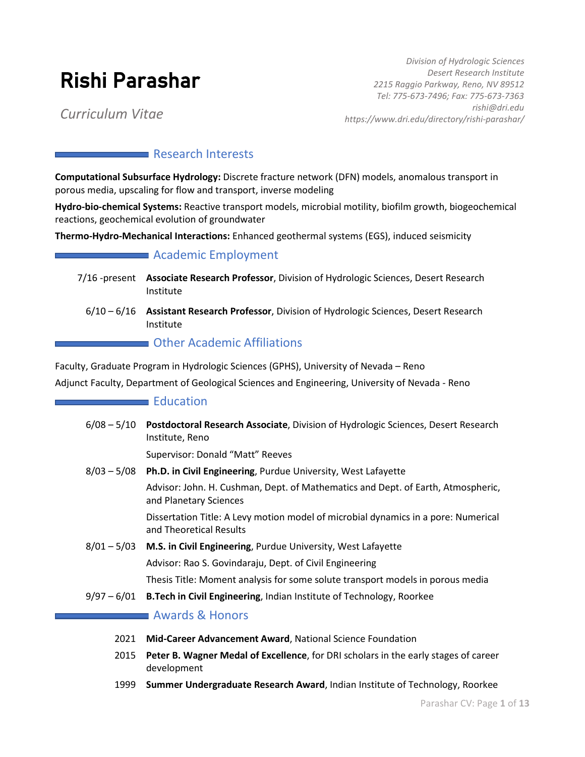# Rishi Parashar

*Division of Hydrologic Sciences Desert Research Institute 2215 Raggio Parkway, Reno, NV 89512 Tel: 775-673-7496; Fax: 775-673-7363 rishi@dri.edu Curriculum Vitae https://www.dri.edu/directory/rishi-parashar/*

# **Research Interests**

**Computational Subsurface Hydrology:** Discrete fracture network (DFN) models, anomalous transport in porous media, upscaling for flow and transport, inverse modeling

**Hydro-bio-chemical Systems:** Reactive transport models, microbial motility, biofilm growth, biogeochemical reactions, geochemical evolution of groundwater

**Thermo-Hydro-Mechanical Interactions:** Enhanced geothermal systems (EGS), induced seismicity

#### **Academic Employment**

- 7/16 -present **Associate Research Professor**, Division of Hydrologic Sciences, Desert Research Institute
	- 6/10 6/16 **Assistant Research Professor**, Division of Hydrologic Sciences, Desert Research Institute

#### **CHACALLET COMPUTER** Other Academic Affiliations

Faculty, Graduate Program in Hydrologic Sciences (GPHS), University of Nevada – Reno Adjunct Faculty, Department of Geological Sciences and Engineering, University of Nevada - Reno

#### **Education**

6/08 – 5/10 **Postdoctoral Research Associate**, Division of Hydrologic Sciences, Desert Research Institute, Reno Supervisor: Donald "Matt" Reeves 8/03 – 5/08 **Ph.D. in Civil Engineering**, Purdue University, West Lafayette Advisor: John. H. Cushman, Dept. of Mathematics and Dept. of Earth, Atmospheric, and Planetary Sciences Dissertation Title: A Levy motion model of microbial dynamics in a pore: Numerical and Theoretical Results 8/01 – 5/03 **M.S. in Civil Engineering**, Purdue University, West Lafayette Advisor: Rao S. Govindaraju, Dept. of Civil Engineering Thesis Title: Moment analysis for some solute transport models in porous media 9/97 – 6/01 **B.Tech in Civil Engineering**, Indian Institute of Technology, Roorkee

#### **Awards & Honors**

- 2021 **Mid-Career Advancement Award**, National Science Foundation
- 2015 **Peter B. Wagner Medal of Excellence**, for DRI scholars in the early stages of career development
- 1999 **Summer Undergraduate Research Award**, Indian Institute of Technology, Roorkee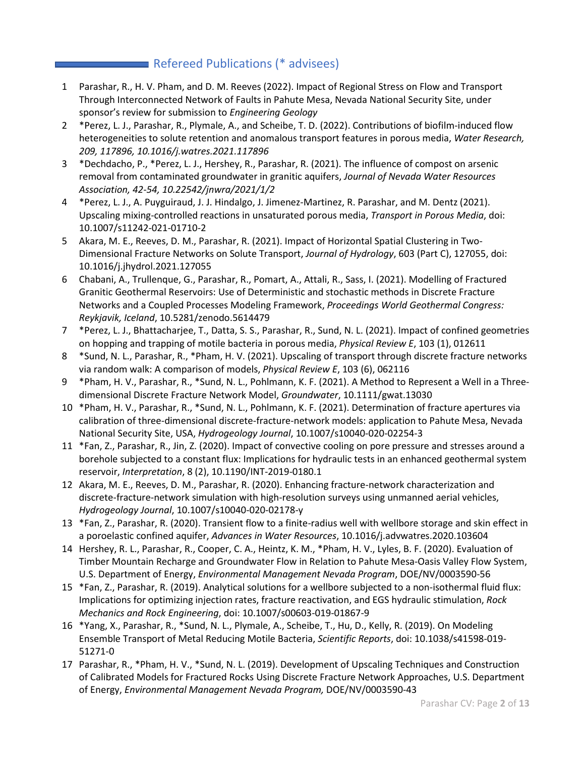# Refereed Publications (\* advisees)

- 1 Parashar, R., H. V. Pham, and D. M. Reeves (2022). Impact of Regional Stress on Flow and Transport Through Interconnected Network of Faults in Pahute Mesa, Nevada National Security Site, under sponsor's review for submission to *Engineering Geology*
- 2 \*Perez, L. J., Parashar, R., Plymale, A., and Scheibe, T. D. (2022). Contributions of biofilm-induced flow heterogeneities to solute retention and anomalous transport features in porous media, *Water Research, 209, 117896, 10.1016/j.watres.2021.117896*
- 3 \*Dechdacho, P., \*Perez, L. J., Hershey, R., Parashar, R. (2021). The influence of compost on arsenic removal from contaminated groundwater in granitic aquifers, *Journal of Nevada Water Resources Association, 42-54, 10.22542/jnwra/2021/1/2*
- 4 \*Perez, L. J., A. Puyguiraud, J. J. Hindalgo, J. Jimenez-Martinez, R. Parashar, and M. Dentz (2021). Upscaling mixing-controlled reactions in unsaturated porous media, *Transport in Porous Media*, doi: 10.1007/s11242-021-01710-2
- 5 Akara, M. E., Reeves, D. M., Parashar, R. (2021). Impact of Horizontal Spatial Clustering in Two-Dimensional Fracture Networks on Solute Transport, *Journal of Hydrology*, 603 (Part C), 127055, doi: 10.1016/j.jhydrol.2021.127055
- 6 Chabani, A., Trullenque, G., Parashar, R., Pomart, A., Attali, R., Sass, I. (2021). Modelling of Fractured Granitic Geothermal Reservoirs: Use of Deterministic and stochastic methods in Discrete Fracture Networks and a Coupled Processes Modeling Framework, *Proceedings World Geothermal Congress: Reykjavik, Iceland*, 10.5281/zenodo.5614479
- 7 \*Perez, L. J., Bhattacharjee, T., Datta, S. S., Parashar, R., Sund, N. L. (2021). Impact of confined geometries on hopping and trapping of motile bacteria in porous media, *Physical Review E*, 103 (1), 012611
- 8 \*Sund, N. L., Parashar, R., \*Pham, H. V. (2021). Upscaling of transport through discrete fracture networks via random walk: A comparison of models, *Physical Review E*, 103 (6), 062116
- 9 \*Pham, H. V., Parashar, R., \*Sund, N. L., Pohlmann, K. F. (2021). A Method to Represent a Well in a Threedimensional Discrete Fracture Network Model, *Groundwater*, 10.1111/gwat.13030
- 10 \*Pham, H. V., Parashar, R., \*Sund, N. L., Pohlmann, K. F. (2021). Determination of fracture apertures via calibration of three-dimensional discrete-fracture-network models: application to Pahute Mesa, Nevada National Security Site, USA, *Hydrogeology Journal*, 10.1007/s10040-020-02254-3
- 11 \*Fan, Z., Parashar, R., Jin, Z. (2020). Impact of convective cooling on pore pressure and stresses around a borehole subjected to a constant flux: Implications for hydraulic tests in an enhanced geothermal system reservoir, *Interpretation*, 8 (2), 10.1190/INT-2019-0180.1
- 12 Akara, M. E., Reeves, D. M., Parashar, R. (2020). Enhancing fracture-network characterization and discrete-fracture-network simulation with high-resolution surveys using unmanned aerial vehicles, *Hydrogeology Journal*, 10.1007/s10040-020-02178-y
- 13 \*Fan, Z., Parashar, R. (2020). Transient flow to a finite-radius well with wellbore storage and skin effect in a poroelastic confined aquifer, *Advances in Water Resources*, 10.1016/j.advwatres.2020.103604
- 14 Hershey, R. L., Parashar, R., Cooper, C. A., Heintz, K. M., \*Pham, H. V., Lyles, B. F. (2020). Evaluation of Timber Mountain Recharge and Groundwater Flow in Relation to Pahute Mesa-Oasis Valley Flow System, U.S. Department of Energy, *Environmental Management Nevada Program*, DOE/NV/0003590-56
- 15 \*Fan, Z., Parashar, R. (2019). Analytical solutions for a wellbore subjected to a non-isothermal fluid flux: Implications for optimizing injection rates, fracture reactivation, and EGS hydraulic stimulation, *Rock Mechanics and Rock Engineering*, doi: 10.1007/s00603-019-01867-9
- 16 \*Yang, X., Parashar, R., \*Sund, N. L., Plymale, A., Scheibe, T., Hu, D., Kelly, R. (2019). On Modeling Ensemble Transport of Metal Reducing Motile Bacteria, *Scientific Reports*, doi: 10.1038/s41598-019- 51271-0
- 17 Parashar, R., \*Pham, H. V., \*Sund, N. L. (2019). Development of Upscaling Techniques and Construction of Calibrated Models for Fractured Rocks Using Discrete Fracture Network Approaches, U.S. Department of Energy, *Environmental Management Nevada Program,* DOE/NV/0003590-43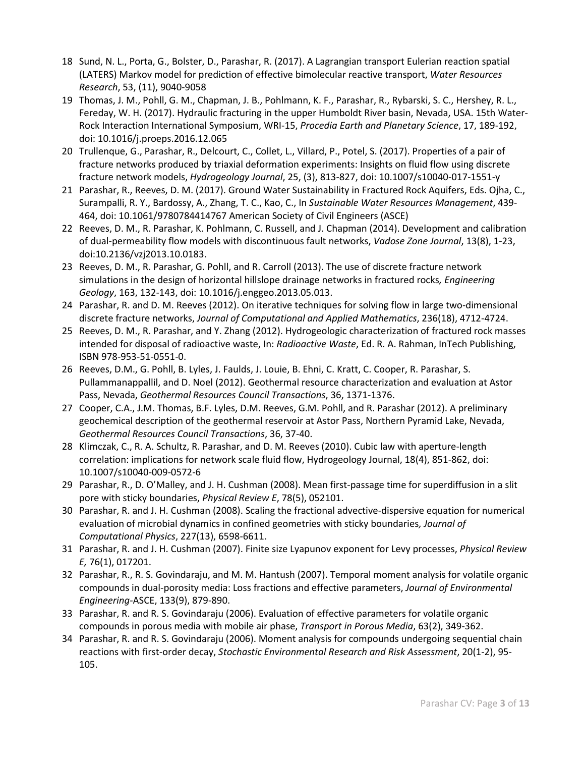- 18 Sund, N. L., Porta, G., Bolster, D., Parashar, R. (2017). A Lagrangian transport Eulerian reaction spatial (LATERS) Markov model for prediction of effective bimolecular reactive transport, *Water Resources Research*, 53, (11), 9040-9058
- 19 Thomas, J. M., Pohll, G. M., Chapman, J. B., Pohlmann, K. F., Parashar, R., Rybarski, S. C., Hershey, R. L., Fereday, W. H. (2017). Hydraulic fracturing in the upper Humboldt River basin, Nevada, USA. 15th Water-Rock Interaction International Symposium, WRI-15, *Procedia Earth and Planetary Science*, 17, 189-192, doi: 10.1016/j.proeps.2016.12.065
- 20 Trullenque, G., Parashar, R., Delcourt, C., Collet, L., Villard, P., Potel, S. (2017). Properties of a pair of fracture networks produced by triaxial deformation experiments: Insights on fluid flow using discrete fracture network models, *Hydrogeology Journal*, 25, (3), 813-827, doi: 10.1007/s10040-017-1551-y
- 21 Parashar, R., Reeves, D. M. (2017). Ground Water Sustainability in Fractured Rock Aquifers, Eds. Ojha, C., Surampalli, R. Y., Bardossy, A., Zhang, T. C., Kao, C., In *Sustainable Water Resources Management*, 439- 464, doi: 10.1061/9780784414767 American Society of Civil Engineers (ASCE)
- 22 Reeves, D. M., R. Parashar, K. Pohlmann, C. Russell, and J. Chapman (2014). Development and calibration of dual-permeability flow models with discontinuous fault networks, *Vadose Zone Journal*, 13(8), 1-23, doi:10.2136/vzj2013.10.0183.
- 23 Reeves, D. M., R. Parashar, G. Pohll, and R. Carroll (2013). The use of discrete fracture network simulations in the design of horizontal hillslope drainage networks in fractured rocks*, Engineering Geology*, 163, 132-143, doi: 10.1016/j.enggeo.2013.05.013.
- 24 Parashar, R. and D. M. Reeves (2012). On iterative techniques for solving flow in large two-dimensional discrete fracture networks, *Journal of Computational and Applied Mathematics*, 236(18), 4712-4724.
- 25 Reeves, D. M., R. Parashar, and Y. Zhang (2012). Hydrogeologic characterization of fractured rock masses intended for disposal of radioactive waste, In: *Radioactive Waste*, Ed. R. A. Rahman, InTech Publishing, ISBN 978-953-51-0551-0.
- 26 Reeves, D.M., G. Pohll, B. Lyles, J. Faulds, J. Louie, B. Ehni, C. Kratt, C. Cooper, R. Parashar, S. Pullammanappallil, and D. Noel (2012). Geothermal resource characterization and evaluation at Astor Pass, Nevada, *Geothermal Resources Council Transactions*, 36, 1371-1376.
- 27 Cooper, C.A., J.M. Thomas, B.F. Lyles, D.M. Reeves, G.M. Pohll, and R. Parashar (2012). A preliminary geochemical description of the geothermal reservoir at Astor Pass, Northern Pyramid Lake, Nevada, *Geothermal Resources Council Transactions*, 36, 37-40.
- 28 Klimczak, C., R. A. Schultz, R. Parashar, and D. M. Reeves (2010). Cubic law with aperture-length correlation: implications for network scale fluid flow, Hydrogeology Journal, 18(4), 851-862, doi: 10.1007/s10040-009-0572-6
- 29 Parashar, R., D. O'Malley, and J. H. Cushman (2008). Mean first-passage time for superdiffusion in a slit pore with sticky boundaries, *Physical Review E*, 78(5), 052101.
- 30 Parashar, R. and J. H. Cushman (2008). Scaling the fractional advective-dispersive equation for numerical evaluation of microbial dynamics in confined geometries with sticky boundaries*, Journal of Computational Physics*, 227(13), 6598-6611.
- 31 Parashar, R. and J. H. Cushman (2007). Finite size Lyapunov exponent for Levy processes, *Physical Review E,* 76(1), 017201.
- 32 Parashar, R., R. S. Govindaraju, and M. M. Hantush (2007). Temporal moment analysis for volatile organic compounds in dual-porosity media: Loss fractions and effective parameters, *Journal of Environmental Engineering*-ASCE, 133(9), 879-890.
- 33 Parashar, R. and R. S. Govindaraju (2006). Evaluation of effective parameters for volatile organic compounds in porous media with mobile air phase, *Transport in Porous Media*, 63(2), 349-362.
- 34 Parashar, R. and R. S. Govindaraju (2006). Moment analysis for compounds undergoing sequential chain reactions with first-order decay, *Stochastic Environmental Research and Risk Assessment*, 20(1-2), 95- 105.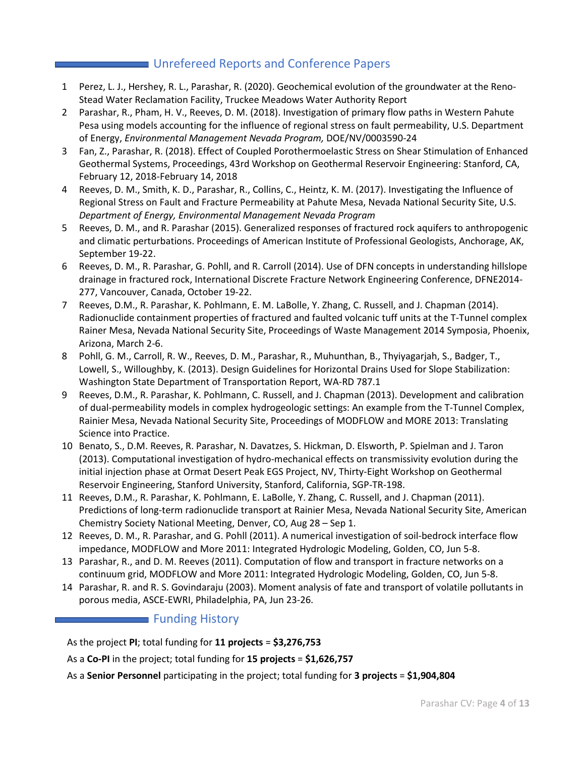# **Unrefereed Reports and Conference Papers**

- 1 Perez, L. J., Hershey, R. L., Parashar, R. (2020). Geochemical evolution of the groundwater at the Reno-Stead Water Reclamation Facility, Truckee Meadows Water Authority Report
- 2 Parashar, R., Pham, H. V., Reeves, D. M. (2018). Investigation of primary flow paths in Western Pahute Pesa using models accounting for the influence of regional stress on fault permeability, U.S. Department of Energy, *Environmental Management Nevada Program,* DOE/NV/0003590-24
- 3 Fan, Z., Parashar, R. (2018). Effect of Coupled Porothermoelastic Stress on Shear Stimulation of Enhanced Geothermal Systems, Proceedings, 43rd Workshop on Geothermal Reservoir Engineering: Stanford, CA, February 12, 2018-February 14, 2018
- 4 Reeves, D. M., Smith, K. D., Parashar, R., Collins, C., Heintz, K. M. (2017). Investigating the Influence of Regional Stress on Fault and Fracture Permeability at Pahute Mesa, Nevada National Security Site, U.S. *Department of Energy, Environmental Management Nevada Program*
- 5 Reeves, D. M., and R. Parashar (2015). Generalized responses of fractured rock aquifers to anthropogenic and climatic perturbations. Proceedings of American Institute of Professional Geologists, Anchorage, AK, September 19-22.
- 6 Reeves, D. M., R. Parashar, G. Pohll, and R. Carroll (2014). Use of DFN concepts in understanding hillslope drainage in fractured rock, International Discrete Fracture Network Engineering Conference, DFNE2014- 277, Vancouver, Canada, October 19-22.
- 7 Reeves, D.M., R. Parashar, K. Pohlmann, E. M. LaBolle, Y. Zhang, C. Russell, and J. Chapman (2014). Radionuclide containment properties of fractured and faulted volcanic tuff units at the T-Tunnel complex Rainer Mesa, Nevada National Security Site, Proceedings of Waste Management 2014 Symposia, Phoenix, Arizona, March 2-6.
- 8 Pohll, G. M., Carroll, R. W., Reeves, D. M., Parashar, R., Muhunthan, B., Thyiyagarjah, S., Badger, T., Lowell, S., Willoughby, K. (2013). Design Guidelines for Horizontal Drains Used for Slope Stabilization: Washington State Department of Transportation Report, WA-RD 787.1
- 9 Reeves, D.M., R. Parashar, K. Pohlmann, C. Russell, and J. Chapman (2013). Development and calibration of dual-permeability models in complex hydrogeologic settings: An example from the T-Tunnel Complex, Rainier Mesa, Nevada National Security Site, Proceedings of MODFLOW and MORE 2013: Translating Science into Practice.
- 10 Benato, S., D.M. Reeves, R. Parashar, N. Davatzes, S. Hickman, D. Elsworth, P. Spielman and J. Taron (2013). Computational investigation of hydro-mechanical effects on transmissivity evolution during the initial injection phase at Ormat Desert Peak EGS Project, NV, Thirty-Eight Workshop on Geothermal Reservoir Engineering, Stanford University, Stanford, California, SGP-TR-198.
- 11 Reeves, D.M., R. Parashar, K. Pohlmann, E. LaBolle, Y. Zhang, C. Russell, and J. Chapman (2011). Predictions of long-term radionuclide transport at Rainier Mesa, Nevada National Security Site, American Chemistry Society National Meeting, Denver, CO, Aug 28 – Sep 1.
- 12 Reeves, D. M., R. Parashar, and G. Pohll (2011). A numerical investigation of soil-bedrock interface flow impedance, MODFLOW and More 2011: Integrated Hydrologic Modeling, Golden, CO, Jun 5-8.
- 13 Parashar, R., and D. M. Reeves (2011). Computation of flow and transport in fracture networks on a continuum grid, MODFLOW and More 2011: Integrated Hydrologic Modeling, Golden, CO, Jun 5-8.
- 14 Parashar, R. and R. S. Govindaraju (2003). Moment analysis of fate and transport of volatile pollutants in porous media, ASCE-EWRI, Philadelphia, PA, Jun 23-26.

## **Funding History**

As the project **PI**; total funding for **11 projects** = **\$3,276,753** 

As a **Co-PI** in the project; total funding for **15 projects** = **\$1,626,757**

As a **Senior Personnel** participating in the project; total funding for **3 projects** = **\$1,904,804**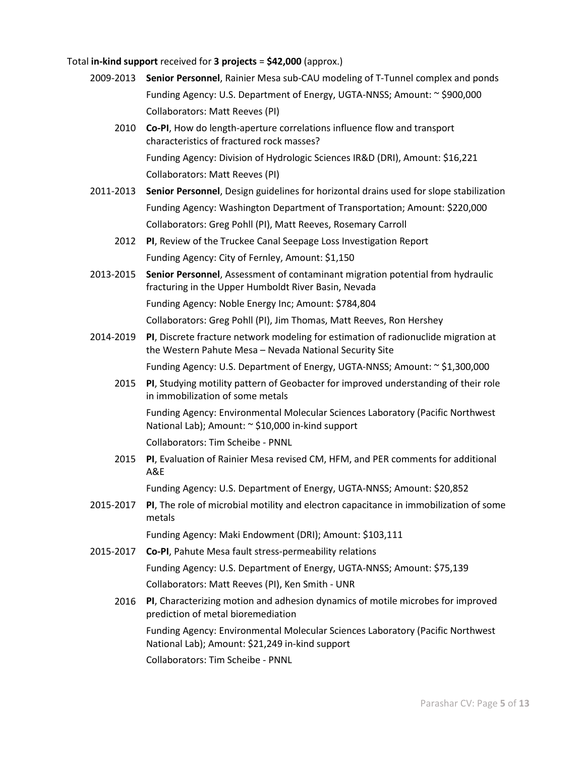#### Total **in-kind support** received for **3 projects** = **\$42,000** (approx.)

- 2009-2013 **Senior Personnel**, Rainier Mesa sub-CAU modeling of T-Tunnel complex and ponds Funding Agency: U.S. Department of Energy, UGTA-NNSS; Amount: ~ \$900,000 Collaborators: Matt Reeves (PI)
	- 2010 **Co-PI**, How do length-aperture correlations influence flow and transport characteristics of fractured rock masses? Funding Agency: Division of Hydrologic Sciences IR&D (DRI), Amount: \$16,221 Collaborators: Matt Reeves (PI)
- 2011-2013 **Senior Personnel**, Design guidelines for horizontal drains used for slope stabilization Funding Agency: Washington Department of Transportation; Amount: \$220,000 Collaborators: Greg Pohll (PI), Matt Reeves, Rosemary Carroll
	- 2012 **PI**, Review of the Truckee Canal Seepage Loss Investigation Report Funding Agency: City of Fernley, Amount: \$1,150
- 2013-2015 **Senior Personnel**, Assessment of contaminant migration potential from hydraulic fracturing in the Upper Humboldt River Basin, Nevada Funding Agency: Noble Energy Inc; Amount: \$784,804

Collaborators: Greg Pohll (PI), Jim Thomas, Matt Reeves, Ron Hershey

- 2014-2019 **PI**, Discrete fracture network modeling for estimation of radionuclide migration at the Western Pahute Mesa – Nevada National Security Site Funding Agency: U.S. Department of Energy, UGTA-NNSS; Amount: ~ \$1,300,000
	- 2015 **PI**, Studying motility pattern of Geobacter for improved understanding of their role in immobilization of some metals

Funding Agency: Environmental Molecular Sciences Laboratory (Pacific Northwest National Lab); Amount: ~ \$10,000 in-kind support

Collaborators: Tim Scheibe - PNNL

2015 **PI**, Evaluation of Rainier Mesa revised CM, HFM, and PER comments for additional A&E

Funding Agency: U.S. Department of Energy, UGTA-NNSS; Amount: \$20,852

2015-2017 **PI**, The role of microbial motility and electron capacitance in immobilization of some metals

Funding Agency: Maki Endowment (DRI); Amount: \$103,111

- 2015-2017 **Co-PI**, Pahute Mesa fault stress-permeability relations Funding Agency: U.S. Department of Energy, UGTA-NNSS; Amount: \$75,139 Collaborators: Matt Reeves (PI), Ken Smith - UNR
	- 2016 **PI**, Characterizing motion and adhesion dynamics of motile microbes for improved prediction of metal bioremediation

Funding Agency: Environmental Molecular Sciences Laboratory (Pacific Northwest National Lab); Amount: \$21,249 in-kind support

Collaborators: Tim Scheibe - PNNL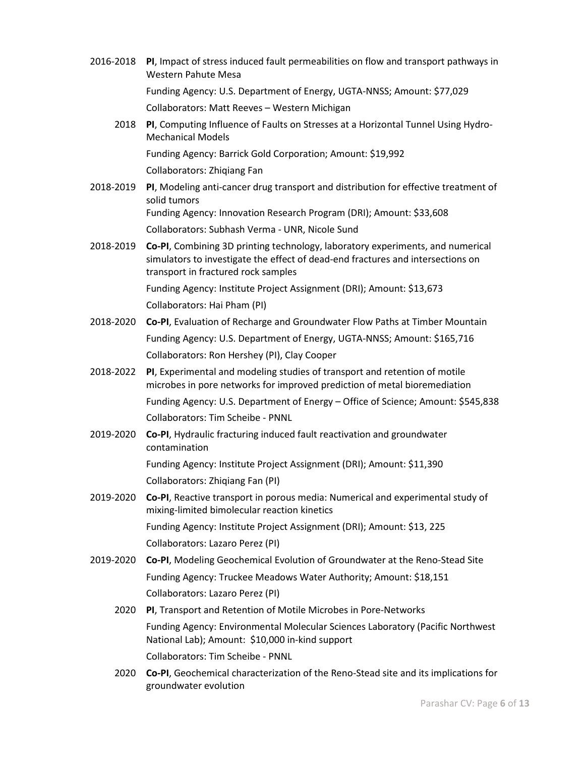2016-2018 **PI**, Impact of stress induced fault permeabilities on flow and transport pathways in Western Pahute Mesa Funding Agency: U.S. Department of Energy, UGTA-NNSS; Amount: \$77,029 Collaborators: Matt Reeves – Western Michigan 2018 **PI**, Computing Influence of Faults on Stresses at a Horizontal Tunnel Using Hydro-Mechanical Models Funding Agency: Barrick Gold Corporation; Amount: \$19,992 Collaborators: Zhiqiang Fan 2018-2019 **PI**, Modeling anti-cancer drug transport and distribution for effective treatment of solid tumors Funding Agency: Innovation Research Program (DRI); Amount: \$33,608 Collaborators: Subhash Verma - UNR, Nicole Sund 2018-2019 **Co-PI**, Combining 3D printing technology, laboratory experiments, and numerical simulators to investigate the effect of dead-end fractures and intersections on transport in fractured rock samples Funding Agency: Institute Project Assignment (DRI); Amount: \$13,673 Collaborators: Hai Pham (PI) 2018-2020 **Co-PI**, Evaluation of Recharge and Groundwater Flow Paths at Timber Mountain Funding Agency: U.S. Department of Energy, UGTA-NNSS; Amount: \$165,716 Collaborators: Ron Hershey (PI), Clay Cooper 2018-2022 **PI**, Experimental and modeling studies of transport and retention of motile microbes in pore networks for improved prediction of metal bioremediation Funding Agency: U.S. Department of Energy – Office of Science; Amount: \$545,838 Collaborators: Tim Scheibe - PNNL 2019-2020 **Co-PI**, Hydraulic fracturing induced fault reactivation and groundwater contamination Funding Agency: Institute Project Assignment (DRI); Amount: \$11,390 Collaborators: Zhiqiang Fan (PI) 2019-2020 **Co-PI**, Reactive transport in porous media: Numerical and experimental study of mixing-limited bimolecular reaction kinetics Funding Agency: Institute Project Assignment (DRI); Amount: \$13, 225 Collaborators: Lazaro Perez (PI) 2019-2020 **Co-PI**, Modeling Geochemical Evolution of Groundwater at the Reno-Stead Site Funding Agency: Truckee Meadows Water Authority; Amount: \$18,151 Collaborators: Lazaro Perez (PI) 2020 **PI**, Transport and Retention of Motile Microbes in Pore-Networks Funding Agency: Environmental Molecular Sciences Laboratory (Pacific Northwest National Lab); Amount: \$10,000 in-kind support Collaborators: Tim Scheibe - PNNL 2020 **Co-PI**, Geochemical characterization of the Reno-Stead site and its implications for

groundwater evolution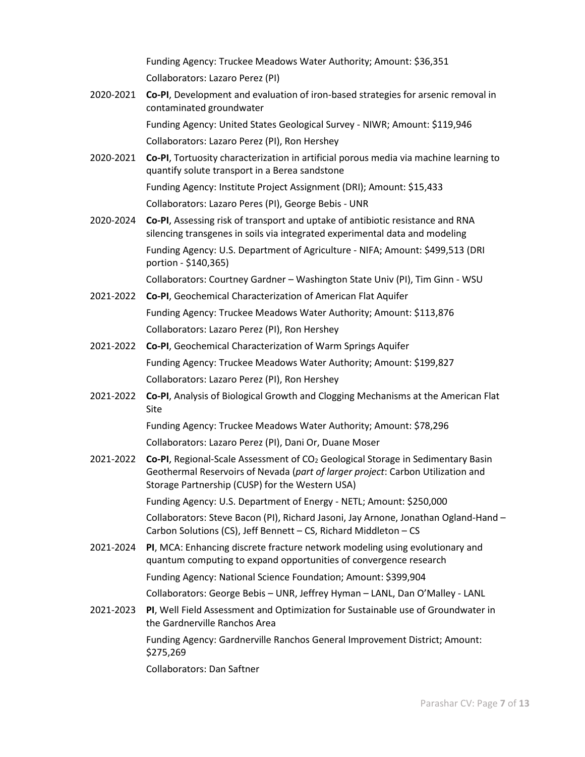Funding Agency: Truckee Meadows Water Authority; Amount: \$36,351 Collaborators: Lazaro Perez (PI)

2020-2021 **Co-PI**, Development and evaluation of iron-based strategies for arsenic removal in contaminated groundwater Funding Agency: United States Geological Survey - NIWR; Amount: \$119,946

Collaborators: Lazaro Perez (PI), Ron Hershey

2020-2021 **Co-PI**, Tortuosity characterization in artificial porous media via machine learning to quantify solute transport in a Berea sandstone

> Funding Agency: Institute Project Assignment (DRI); Amount: \$15,433 Collaborators: Lazaro Peres (PI), George Bebis - UNR

2020-2024 **Co-PI**, Assessing risk of transport and uptake of antibiotic resistance and RNA silencing transgenes in soils via integrated experimental data and modeling Funding Agency: U.S. Department of Agriculture - NIFA; Amount: \$499,513 (DRI portion - \$140,365)

Collaborators: Courtney Gardner – Washington State Univ (PI), Tim Ginn - WSU

- 2021-2022 **Co-PI**, Geochemical Characterization of American Flat Aquifer Funding Agency: Truckee Meadows Water Authority; Amount: \$113,876 Collaborators: Lazaro Perez (PI), Ron Hershey
- 2021-2022 **Co-PI**, Geochemical Characterization of Warm Springs Aquifer Funding Agency: Truckee Meadows Water Authority; Amount: \$199,827 Collaborators: Lazaro Perez (PI), Ron Hershey
- 2021-2022 **Co-PI**, Analysis of Biological Growth and Clogging Mechanisms at the American Flat Site

Funding Agency: Truckee Meadows Water Authority; Amount: \$78,296 Collaborators: Lazaro Perez (PI), Dani Or, Duane Moser

2021-2022 **Co-PI**, Regional-Scale Assessment of CO2 Geological Storage in Sedimentary Basin Geothermal Reservoirs of Nevada (*part of larger project*: Carbon Utilization and Storage Partnership (CUSP) for the Western USA)

Funding Agency: U.S. Department of Energy - NETL; Amount: \$250,000

Collaborators: Steve Bacon (PI), Richard Jasoni, Jay Arnone, Jonathan Ogland-Hand – Carbon Solutions (CS), Jeff Bennett – CS, Richard Middleton – CS

2021-2024 **PI**, MCA: Enhancing discrete fracture network modeling using evolutionary and quantum computing to expand opportunities of convergence research

Funding Agency: National Science Foundation; Amount: \$399,904

Collaborators: George Bebis – UNR, Jeffrey Hyman – LANL, Dan O'Malley - LANL

2021-2023 **PI**, Well Field Assessment and Optimization for Sustainable use of Groundwater in the Gardnerville Ranchos Area

Funding Agency: Gardnerville Ranchos General Improvement District; Amount: \$275,269

Collaborators: Dan Saftner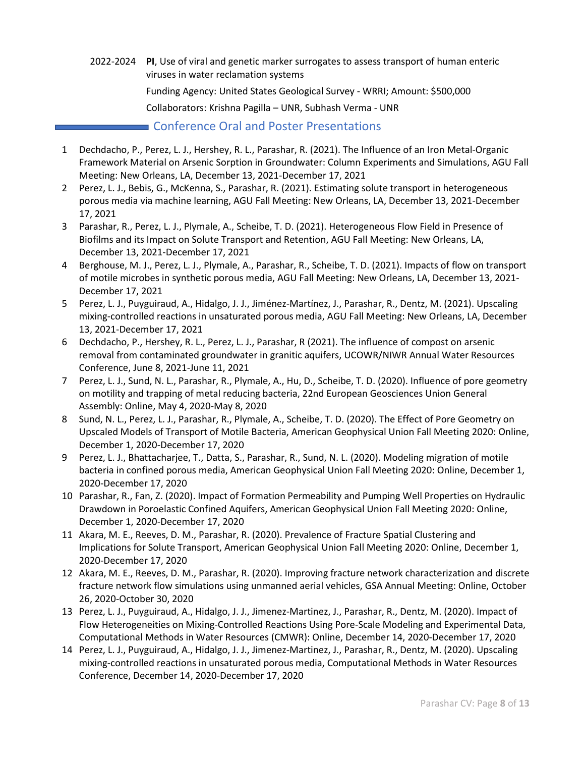- 2022-2024 **PI**, Use of viral and genetic marker surrogates to assess transport of human enteric viruses in water reclamation systems Funding Agency: United States Geological Survey - WRRI; Amount: \$500,000 Collaborators: Krishna Pagilla – UNR, Subhash Verma - UNR **Conference Oral and Poster Presentations**
- 1 Dechdacho, P., Perez, L. J., Hershey, R. L., Parashar, R. (2021). The Influence of an Iron Metal-Organic Framework Material on Arsenic Sorption in Groundwater: Column Experiments and Simulations, AGU Fall Meeting: New Orleans, LA, December 13, 2021-December 17, 2021
- 2 Perez, L. J., Bebis, G., McKenna, S., Parashar, R. (2021). Estimating solute transport in heterogeneous porous media via machine learning, AGU Fall Meeting: New Orleans, LA, December 13, 2021-December 17, 2021
- 3 Parashar, R., Perez, L. J., Plymale, A., Scheibe, T. D. (2021). Heterogeneous Flow Field in Presence of Biofilms and its Impact on Solute Transport and Retention, AGU Fall Meeting: New Orleans, LA, December 13, 2021-December 17, 2021
- 4 Berghouse, M. J., Perez, L. J., Plymale, A., Parashar, R., Scheibe, T. D. (2021). Impacts of flow on transport of motile microbes in synthetic porous media, AGU Fall Meeting: New Orleans, LA, December 13, 2021- December 17, 2021
- 5 Perez, L. J., Puyguiraud, A., Hidalgo, J. J., Jiménez-Martínez, J., Parashar, R., Dentz, M. (2021). Upscaling mixing-controlled reactions in unsaturated porous media, AGU Fall Meeting: New Orleans, LA, December 13, 2021-December 17, 2021
- 6 Dechdacho, P., Hershey, R. L., Perez, L. J., Parashar, R (2021). The influence of compost on arsenic removal from contaminated groundwater in granitic aquifers, UCOWR/NIWR Annual Water Resources Conference, June 8, 2021-June 11, 2021
- 7 Perez, L. J., Sund, N. L., Parashar, R., Plymale, A., Hu, D., Scheibe, T. D. (2020). Influence of pore geometry on motility and trapping of metal reducing bacteria, 22nd European Geosciences Union General Assembly: Online, May 4, 2020-May 8, 2020
- 8 Sund, N. L., Perez, L. J., Parashar, R., Plymale, A., Scheibe, T. D. (2020). The Effect of Pore Geometry on Upscaled Models of Transport of Motile Bacteria, American Geophysical Union Fall Meeting 2020: Online, December 1, 2020-December 17, 2020
- 9 Perez, L. J., Bhattacharjee, T., Datta, S., Parashar, R., Sund, N. L. (2020). Modeling migration of motile bacteria in confined porous media, American Geophysical Union Fall Meeting 2020: Online, December 1, 2020-December 17, 2020
- 10 Parashar, R., Fan, Z. (2020). Impact of Formation Permeability and Pumping Well Properties on Hydraulic Drawdown in Poroelastic Confined Aquifers, American Geophysical Union Fall Meeting 2020: Online, December 1, 2020-December 17, 2020
- 11 Akara, M. E., Reeves, D. M., Parashar, R. (2020). Prevalence of Fracture Spatial Clustering and Implications for Solute Transport, American Geophysical Union Fall Meeting 2020: Online, December 1, 2020-December 17, 2020
- 12 Akara, M. E., Reeves, D. M., Parashar, R. (2020). Improving fracture network characterization and discrete fracture network flow simulations using unmanned aerial vehicles, GSA Annual Meeting: Online, October 26, 2020-October 30, 2020
- 13 Perez, L. J., Puyguiraud, A., Hidalgo, J. J., Jimenez-Martinez, J., Parashar, R., Dentz, M. (2020). Impact of Flow Heterogeneities on Mixing-Controlled Reactions Using Pore-Scale Modeling and Experimental Data, Computational Methods in Water Resources (CMWR): Online, December 14, 2020-December 17, 2020
- 14 Perez, L. J., Puyguiraud, A., Hidalgo, J. J., Jimenez-Martinez, J., Parashar, R., Dentz, M. (2020). Upscaling mixing-controlled reactions in unsaturated porous media, Computational Methods in Water Resources Conference, December 14, 2020-December 17, 2020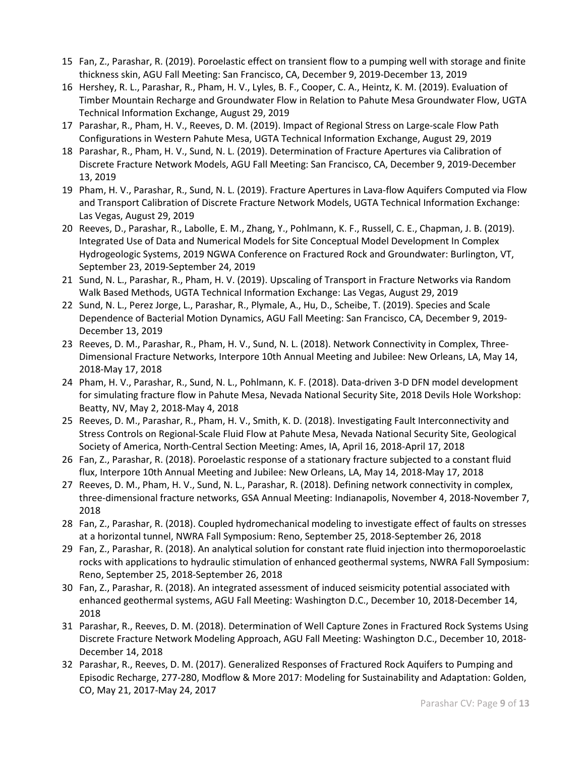- 15 Fan, Z., Parashar, R. (2019). Poroelastic effect on transient flow to a pumping well with storage and finite thickness skin, AGU Fall Meeting: San Francisco, CA, December 9, 2019-December 13, 2019
- 16 Hershey, R. L., Parashar, R., Pham, H. V., Lyles, B. F., Cooper, C. A., Heintz, K. M. (2019). Evaluation of Timber Mountain Recharge and Groundwater Flow in Relation to Pahute Mesa Groundwater Flow, UGTA Technical Information Exchange, August 29, 2019
- 17 Parashar, R., Pham, H. V., Reeves, D. M. (2019). Impact of Regional Stress on Large-scale Flow Path Configurations in Western Pahute Mesa, UGTA Technical Information Exchange, August 29, 2019
- 18 Parashar, R., Pham, H. V., Sund, N. L. (2019). Determination of Fracture Apertures via Calibration of Discrete Fracture Network Models, AGU Fall Meeting: San Francisco, CA, December 9, 2019-December 13, 2019
- 19 Pham, H. V., Parashar, R., Sund, N. L. (2019). Fracture Apertures in Lava-flow Aquifers Computed via Flow and Transport Calibration of Discrete Fracture Network Models, UGTA Technical Information Exchange: Las Vegas, August 29, 2019
- 20 Reeves, D., Parashar, R., Labolle, E. M., Zhang, Y., Pohlmann, K. F., Russell, C. E., Chapman, J. B. (2019). Integrated Use of Data and Numerical Models for Site Conceptual Model Development In Complex Hydrogeologic Systems, 2019 NGWA Conference on Fractured Rock and Groundwater: Burlington, VT, September 23, 2019-September 24, 2019
- 21 Sund, N. L., Parashar, R., Pham, H. V. (2019). Upscaling of Transport in Fracture Networks via Random Walk Based Methods, UGTA Technical Information Exchange: Las Vegas, August 29, 2019
- 22 Sund, N. L., Perez Jorge, L., Parashar, R., Plymale, A., Hu, D., Scheibe, T. (2019). Species and Scale Dependence of Bacterial Motion Dynamics, AGU Fall Meeting: San Francisco, CA, December 9, 2019- December 13, 2019
- 23 Reeves, D. M., Parashar, R., Pham, H. V., Sund, N. L. (2018). Network Connectivity in Complex, Three-Dimensional Fracture Networks, Interpore 10th Annual Meeting and Jubilee: New Orleans, LA, May 14, 2018-May 17, 2018
- 24 Pham, H. V., Parashar, R., Sund, N. L., Pohlmann, K. F. (2018). Data-driven 3-D DFN model development for simulating fracture flow in Pahute Mesa, Nevada National Security Site, 2018 Devils Hole Workshop: Beatty, NV, May 2, 2018-May 4, 2018
- 25 Reeves, D. M., Parashar, R., Pham, H. V., Smith, K. D. (2018). Investigating Fault Interconnectivity and Stress Controls on Regional-Scale Fluid Flow at Pahute Mesa, Nevada National Security Site, Geological Society of America, North-Central Section Meeting: Ames, IA, April 16, 2018-April 17, 2018
- 26 Fan, Z., Parashar, R. (2018). Poroelastic response of a stationary fracture subjected to a constant fluid flux, Interpore 10th Annual Meeting and Jubilee: New Orleans, LA, May 14, 2018-May 17, 2018
- 27 Reeves, D. M., Pham, H. V., Sund, N. L., Parashar, R. (2018). Defining network connectivity in complex, three-dimensional fracture networks, GSA Annual Meeting: Indianapolis, November 4, 2018-November 7, 2018
- 28 Fan, Z., Parashar, R. (2018). Coupled hydromechanical modeling to investigate effect of faults on stresses at a horizontal tunnel, NWRA Fall Symposium: Reno, September 25, 2018-September 26, 2018
- 29 Fan, Z., Parashar, R. (2018). An analytical solution for constant rate fluid injection into thermoporoelastic rocks with applications to hydraulic stimulation of enhanced geothermal systems, NWRA Fall Symposium: Reno, September 25, 2018-September 26, 2018
- 30 Fan, Z., Parashar, R. (2018). An integrated assessment of induced seismicity potential associated with enhanced geothermal systems, AGU Fall Meeting: Washington D.C., December 10, 2018-December 14, 2018
- 31 Parashar, R., Reeves, D. M. (2018). Determination of Well Capture Zones in Fractured Rock Systems Using Discrete Fracture Network Modeling Approach, AGU Fall Meeting: Washington D.C., December 10, 2018- December 14, 2018
- 32 Parashar, R., Reeves, D. M. (2017). Generalized Responses of Fractured Rock Aquifers to Pumping and Episodic Recharge, 277-280, Modflow & More 2017: Modeling for Sustainability and Adaptation: Golden, CO, May 21, 2017-May 24, 2017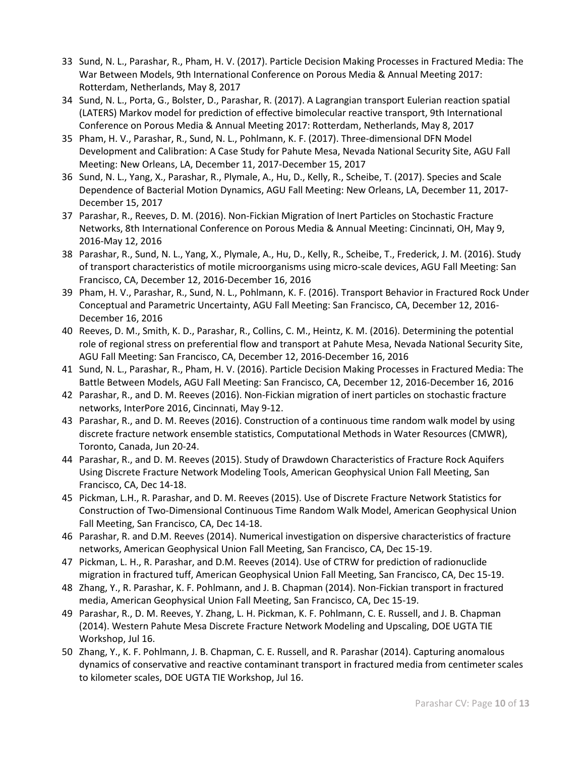- 33 Sund, N. L., Parashar, R., Pham, H. V. (2017). Particle Decision Making Processes in Fractured Media: The War Between Models, 9th International Conference on Porous Media & Annual Meeting 2017: Rotterdam, Netherlands, May 8, 2017
- 34 Sund, N. L., Porta, G., Bolster, D., Parashar, R. (2017). A Lagrangian transport Eulerian reaction spatial (LATERS) Markov model for prediction of effective bimolecular reactive transport, 9th International Conference on Porous Media & Annual Meeting 2017: Rotterdam, Netherlands, May 8, 2017
- 35 Pham, H. V., Parashar, R., Sund, N. L., Pohlmann, K. F. (2017). Three-dimensional DFN Model Development and Calibration: A Case Study for Pahute Mesa, Nevada National Security Site, AGU Fall Meeting: New Orleans, LA, December 11, 2017-December 15, 2017
- 36 Sund, N. L., Yang, X., Parashar, R., Plymale, A., Hu, D., Kelly, R., Scheibe, T. (2017). Species and Scale Dependence of Bacterial Motion Dynamics, AGU Fall Meeting: New Orleans, LA, December 11, 2017- December 15, 2017
- 37 Parashar, R., Reeves, D. M. (2016). Non-Fickian Migration of Inert Particles on Stochastic Fracture Networks, 8th International Conference on Porous Media & Annual Meeting: Cincinnati, OH, May 9, 2016-May 12, 2016
- 38 Parashar, R., Sund, N. L., Yang, X., Plymale, A., Hu, D., Kelly, R., Scheibe, T., Frederick, J. M. (2016). Study of transport characteristics of motile microorganisms using micro-scale devices, AGU Fall Meeting: San Francisco, CA, December 12, 2016-December 16, 2016
- 39 Pham, H. V., Parashar, R., Sund, N. L., Pohlmann, K. F. (2016). Transport Behavior in Fractured Rock Under Conceptual and Parametric Uncertainty, AGU Fall Meeting: San Francisco, CA, December 12, 2016- December 16, 2016
- 40 Reeves, D. M., Smith, K. D., Parashar, R., Collins, C. M., Heintz, K. M. (2016). Determining the potential role of regional stress on preferential flow and transport at Pahute Mesa, Nevada National Security Site, AGU Fall Meeting: San Francisco, CA, December 12, 2016-December 16, 2016
- 41 Sund, N. L., Parashar, R., Pham, H. V. (2016). Particle Decision Making Processes in Fractured Media: The Battle Between Models, AGU Fall Meeting: San Francisco, CA, December 12, 2016-December 16, 2016
- 42 Parashar, R., and D. M. Reeves (2016). Non-Fickian migration of inert particles on stochastic fracture networks, InterPore 2016, Cincinnati, May 9-12.
- 43 Parashar, R., and D. M. Reeves (2016). Construction of a continuous time random walk model by using discrete fracture network ensemble statistics, Computational Methods in Water Resources (CMWR), Toronto, Canada, Jun 20-24.
- 44 Parashar, R., and D. M. Reeves (2015). Study of Drawdown Characteristics of Fracture Rock Aquifers Using Discrete Fracture Network Modeling Tools, American Geophysical Union Fall Meeting, San Francisco, CA, Dec 14-18.
- 45 Pickman, L.H., R. Parashar, and D. M. Reeves (2015). Use of Discrete Fracture Network Statistics for Construction of Two-Dimensional Continuous Time Random Walk Model, American Geophysical Union Fall Meeting, San Francisco, CA, Dec 14-18.
- 46 Parashar, R. and D.M. Reeves (2014). Numerical investigation on dispersive characteristics of fracture networks, American Geophysical Union Fall Meeting, San Francisco, CA, Dec 15-19.
- 47 Pickman, L. H., R. Parashar, and D.M. Reeves (2014). Use of CTRW for prediction of radionuclide migration in fractured tuff, American Geophysical Union Fall Meeting, San Francisco, CA, Dec 15-19.
- 48 Zhang, Y., R. Parashar, K. F. Pohlmann, and J. B. Chapman (2014). Non-Fickian transport in fractured media, American Geophysical Union Fall Meeting, San Francisco, CA, Dec 15-19.
- 49 Parashar, R., D. M. Reeves, Y. Zhang, L. H. Pickman, K. F. Pohlmann, C. E. Russell, and J. B. Chapman (2014). Western Pahute Mesa Discrete Fracture Network Modeling and Upscaling, DOE UGTA TIE Workshop, Jul 16.
- 50 Zhang, Y., K. F. Pohlmann, J. B. Chapman, C. E. Russell, and R. Parashar (2014). Capturing anomalous dynamics of conservative and reactive contaminant transport in fractured media from centimeter scales to kilometer scales, DOE UGTA TIE Workshop, Jul 16.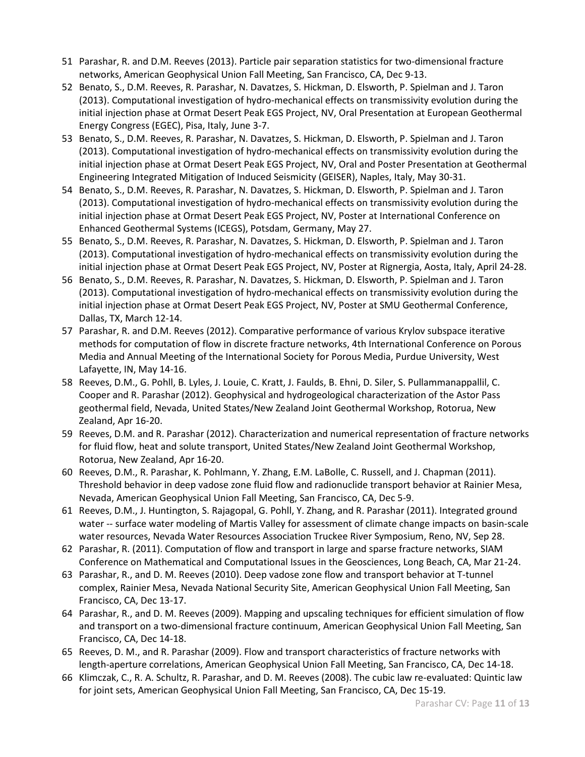- 51 Parashar, R. and D.M. Reeves (2013). Particle pair separation statistics for two-dimensional fracture networks, American Geophysical Union Fall Meeting, San Francisco, CA, Dec 9-13.
- 52 Benato, S., D.M. Reeves, R. Parashar, N. Davatzes, S. Hickman, D. Elsworth, P. Spielman and J. Taron (2013). Computational investigation of hydro-mechanical effects on transmissivity evolution during the initial injection phase at Ormat Desert Peak EGS Project, NV, Oral Presentation at European Geothermal Energy Congress (EGEC), Pisa, Italy, June 3-7.
- 53 Benato, S., D.M. Reeves, R. Parashar, N. Davatzes, S. Hickman, D. Elsworth, P. Spielman and J. Taron (2013). Computational investigation of hydro-mechanical effects on transmissivity evolution during the initial injection phase at Ormat Desert Peak EGS Project, NV, Oral and Poster Presentation at Geothermal Engineering Integrated Mitigation of Induced Seismicity (GEISER), Naples, Italy, May 30-31.
- 54 Benato, S., D.M. Reeves, R. Parashar, N. Davatzes, S. Hickman, D. Elsworth, P. Spielman and J. Taron (2013). Computational investigation of hydro-mechanical effects on transmissivity evolution during the initial injection phase at Ormat Desert Peak EGS Project, NV, Poster at International Conference on Enhanced Geothermal Systems (ICEGS), Potsdam, Germany, May 27.
- 55 Benato, S., D.M. Reeves, R. Parashar, N. Davatzes, S. Hickman, D. Elsworth, P. Spielman and J. Taron (2013). Computational investigation of hydro-mechanical effects on transmissivity evolution during the initial injection phase at Ormat Desert Peak EGS Project, NV, Poster at Rignergia, Aosta, Italy, April 24-28.
- 56 Benato, S., D.M. Reeves, R. Parashar, N. Davatzes, S. Hickman, D. Elsworth, P. Spielman and J. Taron (2013). Computational investigation of hydro-mechanical effects on transmissivity evolution during the initial injection phase at Ormat Desert Peak EGS Project, NV, Poster at SMU Geothermal Conference, Dallas, TX, March 12-14.
- 57 Parashar, R. and D.M. Reeves (2012). Comparative performance of various Krylov subspace iterative methods for computation of flow in discrete fracture networks, 4th International Conference on Porous Media and Annual Meeting of the International Society for Porous Media, Purdue University, West Lafayette, IN, May 14-16.
- 58 Reeves, D.M., G. Pohll, B. Lyles, J. Louie, C. Kratt, J. Faulds, B. Ehni, D. Siler, S. Pullammanappallil, C. Cooper and R. Parashar (2012). Geophysical and hydrogeological characterization of the Astor Pass geothermal field, Nevada, United States/New Zealand Joint Geothermal Workshop, Rotorua, New Zealand, Apr 16-20.
- 59 Reeves, D.M. and R. Parashar (2012). Characterization and numerical representation of fracture networks for fluid flow, heat and solute transport, United States/New Zealand Joint Geothermal Workshop, Rotorua, New Zealand, Apr 16-20.
- 60 Reeves, D.M., R. Parashar, K. Pohlmann, Y. Zhang, E.M. LaBolle, C. Russell, and J. Chapman (2011). Threshold behavior in deep vadose zone fluid flow and radionuclide transport behavior at Rainier Mesa, Nevada, American Geophysical Union Fall Meeting, San Francisco, CA, Dec 5-9.
- 61 Reeves, D.M., J. Huntington, S. Rajagopal, G. Pohll, Y. Zhang, and R. Parashar (2011). Integrated ground water -- surface water modeling of Martis Valley for assessment of climate change impacts on basin-scale water resources, Nevada Water Resources Association Truckee River Symposium, Reno, NV, Sep 28.
- 62 Parashar, R. (2011). Computation of flow and transport in large and sparse fracture networks, SIAM Conference on Mathematical and Computational Issues in the Geosciences, Long Beach, CA, Mar 21-24.
- 63 Parashar, R., and D. M. Reeves (2010). Deep vadose zone flow and transport behavior at T-tunnel complex, Rainier Mesa, Nevada National Security Site, American Geophysical Union Fall Meeting, San Francisco, CA, Dec 13-17.
- 64 Parashar, R., and D. M. Reeves (2009). Mapping and upscaling techniques for efficient simulation of flow and transport on a two-dimensional fracture continuum, American Geophysical Union Fall Meeting, San Francisco, CA, Dec 14-18.
- 65 Reeves, D. M., and R. Parashar (2009). Flow and transport characteristics of fracture networks with length-aperture correlations, American Geophysical Union Fall Meeting, San Francisco, CA, Dec 14-18.
- 66 Klimczak, C., R. A. Schultz, R. Parashar, and D. M. Reeves (2008). The cubic law re-evaluated: Quintic law for joint sets, American Geophysical Union Fall Meeting, San Francisco, CA, Dec 15-19.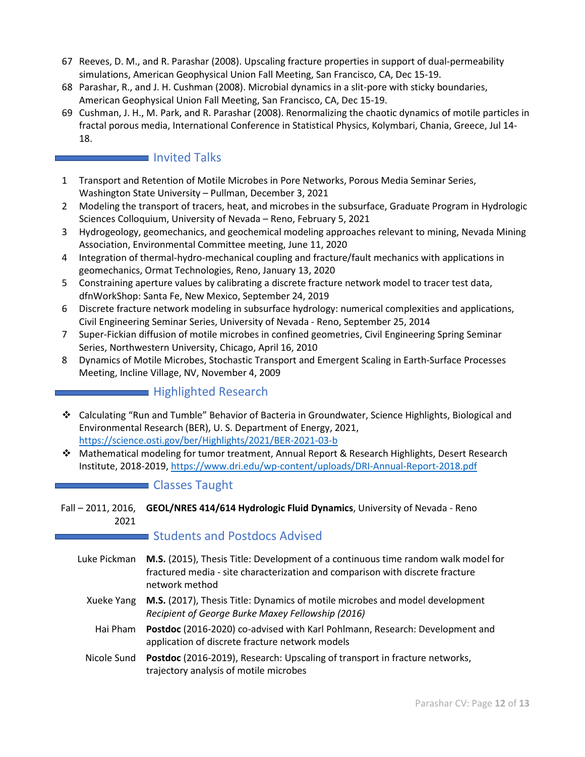- 67 Reeves, D. M., and R. Parashar (2008). Upscaling fracture properties in support of dual-permeability simulations, American Geophysical Union Fall Meeting, San Francisco, CA, Dec 15-19.
- 68 Parashar, R., and J. H. Cushman (2008). Microbial dynamics in a slit-pore with sticky boundaries, American Geophysical Union Fall Meeting, San Francisco, CA, Dec 15-19.
- 69 Cushman, J. H., M. Park, and R. Parashar (2008). Renormalizing the chaotic dynamics of motile particles in fractal porous media, International Conference in Statistical Physics, Kolymbari, Chania, Greece, Jul 14- 18.

# Invited Talks

- 1 Transport and Retention of Motile Microbes in Pore Networks, Porous Media Seminar Series, Washington State University – Pullman, December 3, 2021
- 2 Modeling the transport of tracers, heat, and microbes in the subsurface, Graduate Program in Hydrologic Sciences Colloquium, University of Nevada – Reno, February 5, 2021
- 3 Hydrogeology, geomechanics, and geochemical modeling approaches relevant to mining, Nevada Mining Association, Environmental Committee meeting, June 11, 2020
- 4 Integration of thermal-hydro-mechanical coupling and fracture/fault mechanics with applications in geomechanics, Ormat Technologies, Reno, January 13, 2020
- 5 Constraining aperture values by calibrating a discrete fracture network model to tracer test data, dfnWorkShop: Santa Fe, New Mexico, September 24, 2019
- 6 Discrete fracture network modeling in subsurface hydrology: numerical complexities and applications, Civil Engineering Seminar Series, University of Nevada - Reno, September 25, 2014
- 7 Super-Fickian diffusion of motile microbes in confined geometries, Civil Engineering Spring Seminar Series, Northwestern University, Chicago, April 16, 2010
- 8 Dynamics of Motile Microbes, Stochastic Transport and Emergent Scaling in Earth-Surface Processes Meeting, Incline Village, NV, November 4, 2009

# **Highlighted Research**

- Calculating "Run and Tumble" Behavior of Bacteria in Groundwater, Science Highlights, Biological and Environmental Research (BER), U. S. Department of Energy, 2021, <https://science.osti.gov/ber/Highlights/2021/BER-2021-03-b>
- Mathematical modeling for tumor treatment, Annual Report & Research Highlights, Desert Research Institute, 2018-2019,<https://www.dri.edu/wp-content/uploads/DRI-Annual-Report-2018.pdf>

## **Classes Taught**

Fall - 2011, 2016, GEOL/NRES 414/614 Hydrologic Fluid Dynamics, University of Nevada - Reno 2021

## Students and Postdocs Advised

- Luke Pickman **M.S.** (2015), Thesis Title: Development of a continuous time random walk model for fractured media - site characterization and comparison with discrete fracture network method
	- Xueke Yang **M.S.** (2017), Thesis Title: Dynamics of motile microbes and model development *Recipient of George Burke Maxey Fellowship (2016)*
	- Hai Pham **Postdoc** (2016-2020) co-advised with Karl Pohlmann, Research: Development and application of discrete fracture network models
	- Nicole Sund **Postdoc** (2016-2019), Research: Upscaling of transport in fracture networks, trajectory analysis of motile microbes